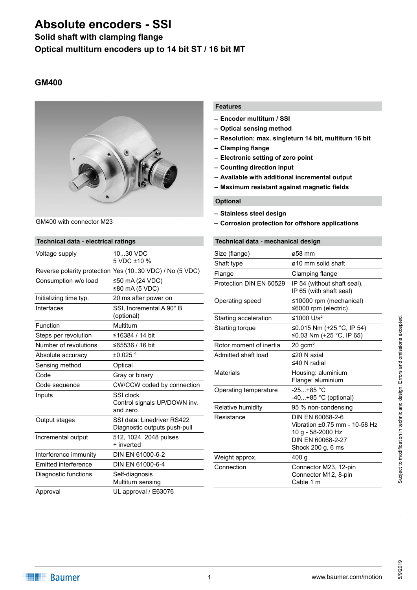## **Solid shaft with clamping flange**

**Optical multiturn encoders up to 14 bit ST / 16 bit MT**

### **GM400**



GM400 with connector M23

### **Technical data - electrical ratings** Voltage supply 10...30 VDC 5 VDC ±10 % Reverse polarity protection Yes (10..30 VDC) / No (5 VDC) Consumption w/o load ≤50 mA (24 VDC) ≤80 mA (5 VDC) Initializing time typ. 20 ms after power on Interfaces SSI, Incremental A 90° B (optional) Function Multiturn Steps per revolution ≤16384 / 14 bit Number of revolutions ≤65536 / 16 bit Absolute accuracy  $\pm 0.025$  ° Sensing method **Optical** Code Gray or binary Code sequence **CW/CCW** coded by connection Inputs SSI clock Control signals UP/DOWN inv. and zero Output stages SSI data: Linedriver RS422 Diagnostic outputs push-pull Incremental output 512, 1024, 2048 pulses + inverted Interference immunity DIN EN 61000-6-2 Emitted interference DIN EN 61000-6-4 Diagnostic functions Self-diagnosis Multiturn sensing Approval UL approval / E63076

### **Features**

- **– Encoder multiturn / SSI**
- **– Optical sensing method**
- **– Resolution: max. singleturn 14 bit, multiturn 16 bit**
- **– Clamping flange**
- **– Electronic setting of zero point**
- **– Counting direction input**
- **– Available with additional incremental output**
- **– Maximum resistant against magnetic fields**

### **Optional**

- **– Stainless steel design**
- **– Corrosion protection for offshore applications**

### **Technical data - mechanical design**

| ø58 mm                                                                                                           |
|------------------------------------------------------------------------------------------------------------------|
| ø10 mm solid shaft                                                                                               |
| Clamping flange                                                                                                  |
| IP 54 (without shaft seal),<br>IP 65 (with shaft seal)                                                           |
| ≤10000 rpm (mechanical)<br>≤6000 rpm (electric)                                                                  |
| ≤1000 $U/s^2$                                                                                                    |
| ≤0.015 Nm (+25 °C, IP 54)<br>≤0.03 Nm (+25 °C, IP 65)                                                            |
| $20$ gcm <sup>2</sup>                                                                                            |
| ≤20 N axial<br>≤40 N radial                                                                                      |
| Housing: aluminium<br>Flange: aluminium                                                                          |
| $-25+85$ °C<br>$-40+85$ °C (optional)                                                                            |
| 95 % non-condensing                                                                                              |
| DIN EN 60068-2-6<br>Vibration ±0.75 mm - 10-58 Hz<br>10 g - 58-2000 Hz<br>DIN FN 60068-2-27<br>Shock 200 g, 6 ms |
| 400 g                                                                                                            |
| Connector M23, 12-pin<br>Connector M12, 8-pin<br>Cable 1 m                                                       |
|                                                                                                                  |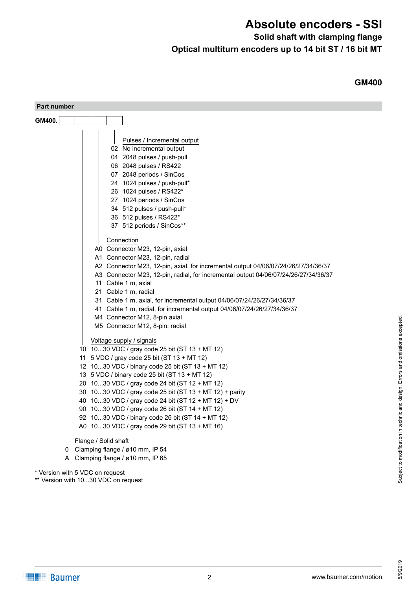**Solid shaft with clamping flange**

**GM400**

**Optical multiturn encoders up to 14 bit ST / 16 bit MT**

| Part number                                                                         |
|-------------------------------------------------------------------------------------|
| GM400.                                                                              |
|                                                                                     |
| Pulses / Incremental output                                                         |
| 02 No incremental output                                                            |
| 04 2048 pulses / push-pull                                                          |
| 06 2048 pulses / RS422                                                              |
| 07 2048 periods / SinCos                                                            |
| 24 1024 pulses / push-pull*                                                         |
| 26 1024 pulses / RS422*                                                             |
| 27 1024 periods / SinCos                                                            |
| 34 512 pulses / push-pull*                                                          |
| 36 512 pulses / RS422*                                                              |
| 37 512 periods / SinCos**                                                           |
| Connection                                                                          |
| A0 Connector M23, 12-pin, axial                                                     |
| A1 Connector M23, 12-pin, radial                                                    |
| A2 Connector M23, 12-pin, axial, for incremental output 04/06/07/24/26/27/34/36/37  |
| A3 Connector M23, 12-pin, radial, for incremental output 04/06/07/24/26/27/34/36/37 |
| 11 Cable 1 m, axial                                                                 |
| 21 Cable 1 m, radial                                                                |
| 31 Cable 1 m, axial, for incremental output 04/06/07/24/26/27/34/36/37              |
| 41 Cable 1 m, radial, for incremental output 04/06/07/24/26/27/34/36/37             |
| M4 Connector M12, 8-pin axial                                                       |
| M5 Connector M12, 8-pin, radial                                                     |
| Voltage supply / signals                                                            |
| 10 1030 VDC / gray code 25 bit (ST 13 + MT 12)                                      |
| 11 5 VDC / gray code 25 bit (ST 13 + MT 12)                                         |
| 12 1030 VDC / binary code 25 bit (ST 13 + MT 12)                                    |
| 13 5 VDC / binary code 25 bit (ST 13 + MT 12)                                       |
| 20 1030 VDC / gray code 24 bit (ST 12 + MT 12)                                      |
| 30 1030 VDC / gray code 25 bit (ST 13 + MT 12) + parity                             |
| 40 1030 VDC / gray code 24 bit (ST 12 + MT 12) + DV                                 |
| 90 1030 VDC / gray code 26 bit (ST 14 + MT 12)                                      |
| 92 1030 VDC / binary code 26 bit (ST 14 + MT 12)                                    |
| A0 1030 VDC / gray code 29 bit (ST 13 + MT 16)                                      |
| Flange / Solid shaft                                                                |
| Clamping flange / ø10 mm, IP 54<br>0                                                |
| Clamping flange / ø10 mm, IP 65<br>A                                                |
| * Version with 5 VDC on request                                                     |

\*\* Version with 10...30 VDC on request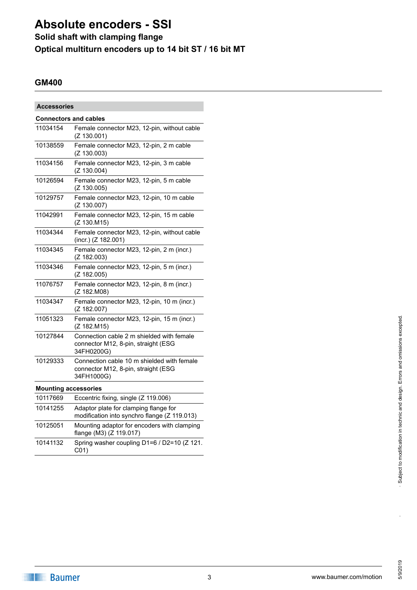## **Solid shaft with clamping flange**

**Optical multiturn encoders up to 14 bit ST / 16 bit MT**

## **GM400**

| <b>Accessories</b>           |                                                                                                 |  |
|------------------------------|-------------------------------------------------------------------------------------------------|--|
| <b>Connectors and cables</b> |                                                                                                 |  |
| 11034154                     | Female connector M23, 12-pin, without cable<br>(Z 130.001)                                      |  |
| 10138559                     | Female connector M23, 12-pin, 2 m cable<br>(Z 130.003)                                          |  |
| 11034156                     | Female connector M23, 12-pin, 3 m cable<br>(Z 130.004)                                          |  |
| 10126594                     | Female connector M23, 12-pin, 5 m cable<br>(Z 130.005)                                          |  |
| 10129757                     | Female connector M23, 12-pin, 10 m cable<br>(Z 130.007)                                         |  |
| 11042991                     | Female connector M23, 12-pin, 15 m cable<br>(Z 130.M15)                                         |  |
| 11034344                     | Female connector M23, 12-pin, without cable<br>(incr.) (Z 182.001)                              |  |
| 11034345                     | Female connector M23, 12-pin, 2 m (incr.)<br>(Z 182.003)                                        |  |
| 11034346                     | Female connector M23, 12-pin, 5 m (incr.)<br>(Z 182.005)                                        |  |
| 11076757                     | Female connector M23, 12-pin, 8 m (incr.)<br>(Z 182.M08)                                        |  |
| 11034347                     | Female connector M23, 12-pin, 10 m (incr.)<br>(Z 182.007)                                       |  |
| 11051323                     | Female connector M23, 12-pin, 15 m (incr.)<br>(Z 182.M15)                                       |  |
| 10127844                     | Connection cable 2 m shielded with female<br>connector M12, 8-pin, straight (ESG<br>34FH0200G)  |  |
| 10129333                     | Connection cable 10 m shielded with female<br>connector M12, 8-pin, straight (ESG<br>34FH1000G) |  |
| <b>Mounting accessories</b>  |                                                                                                 |  |
| 10117669                     | Eccentric fixing, single (Z 119.006)                                                            |  |
| 10141255                     | Adaptor plate for clamping flange for<br>modification into synchro flange (Z 119.013)           |  |
| 10125051                     | Mounting adaptor for encoders with clamping<br>flange (M3) (Z 119.017)                          |  |
| 10141132                     | Spring washer coupling D1=6 / D2=10 (Z 121.<br>C01)                                             |  |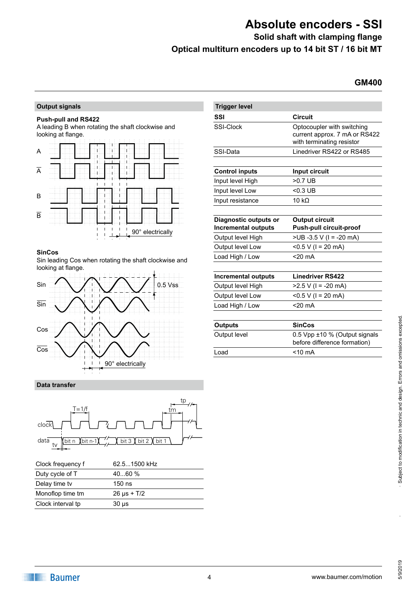**Solid shaft with clamping flange**

**Optical multiturn encoders up to 14 bit ST / 16 bit MT**

### **GM400**

### **Output signals**

#### **Push-pull and RS422**

A leading B when rotating the shaft clockwise and looking at flange.



#### SinCos

Sin leading Cos when rotating the shaft clockwise and looking at flange.



### **Data transfer**



| Clock frequency f | 62.51500 kHz     |
|-------------------|------------------|
| Duty cycle of T   | 4060%            |
| Delay time tv     | $150$ ns         |
| Monoflop time tm  | $26 \mu s + T/2$ |
| Clock interval tp | $30 \mu s$       |

| <b>Trigger level</b>                                |                                                                                          |
|-----------------------------------------------------|------------------------------------------------------------------------------------------|
| SSI                                                 | <b>Circuit</b>                                                                           |
| SSI-Clock                                           | Optocoupler with switching<br>current approx. 7 mA or RS422<br>with terminating resistor |
| SSI-Data                                            | Linedriver RS422 or RS485                                                                |
|                                                     |                                                                                          |
| <b>Control inputs</b>                               | Input circuit                                                                            |
| Input level High                                    | $>0.7$ UB                                                                                |
| Input level Low                                     | $< 0.3 \text{UB}$                                                                        |
| Input resistance                                    | 10 k $\Omega$                                                                            |
|                                                     |                                                                                          |
| Diagnostic outputs or<br><b>Incremental outputs</b> | <b>Output circuit</b><br><b>Push-pull circuit-proof</b>                                  |
| Output level High                                   | $>UB -3.5 V (I = -20 mA)$                                                                |
| Output level Low                                    | < $0.5 V$ ( $l = 20 mA$ )                                                                |
| Load High / Low                                     | $<$ 20 $mA$                                                                              |
|                                                     |                                                                                          |
| <b>Incremental outputs</b>                          | <b>Linedriver RS422</b>                                                                  |
| Output level High                                   | $>2.5$ V (I = -20 mA)                                                                    |
| Output level Low                                    | < $0.5 V$ ( $l = 20 mA$ )                                                                |
| Load High / Low                                     | $<$ 20 $mA$                                                                              |
|                                                     |                                                                                          |
| <b>Outputs</b>                                      | <b>SinCos</b>                                                                            |
| Output level                                        | 0.5 Vpp ±10 % (Output signals<br>before difference formation)                            |

Load <10 mA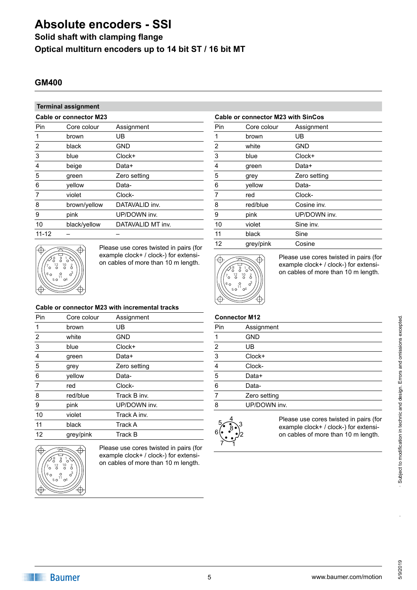### **Solid shaft with clamping flange**

**Optical multiturn encoders up to 14 bit ST / 16 bit MT**

### **GM400**

## **Terminal assignment**

| Terminal assignment |                               |                   |  |
|---------------------|-------------------------------|-------------------|--|
|                     | <b>Cable or connector M23</b> |                   |  |
| Pin                 | Core colour                   | Assignment        |  |
| 1                   | brown                         | UB                |  |
| 2                   | black                         | <b>GND</b>        |  |
| 3                   | blue                          | $Clock+$          |  |
| 4                   | beige                         | Data+             |  |
| 5                   | green                         | Zero setting      |  |
| 6                   | yellow                        | Data-             |  |
| 7                   | violet                        | Clock-            |  |
| 8                   | brown/yellow                  | DATAVALID inv.    |  |
| 9                   | pink                          | UP/DOWN inv.      |  |
| 10                  | black/yellow                  | DATAVALID MT inv. |  |
| ,, , ,              |                               |                   |  |

11-12

Æ 9  $\frac{12}{0}$  10 5 0 ' 04

Please use cores twisted in pairs (for example clock+ / clock-) for extensi-

### **Cable or connector M23 with incremental tracks**

| Pin | Core colour | Assignment     |
|-----|-------------|----------------|
| 1   | brown       | UB             |
| 2   | white       | <b>GND</b>     |
| 3   | blue        | $Clock+$       |
| 4   | green       | Data+          |
| 5   | grey        | Zero setting   |
| 6   | yellow      | Data-          |
| 7   | red         | Clock-         |
| 8   | red/blue    | Track B inv.   |
| 9   | pink        | UP/DOWN inv.   |
| 10  | violet      | Track A inv.   |
| 11  | black       | Track A        |
| 12  | grey/pink   | <b>Track B</b> |
|     |             |                |



Please use cores twisted in pairs (for example clock+ / clock-) for extension cables of more than 10 m length.

### **Cable or connector M23 with SinCos**

| Pin        | Core colour | Assignment   |
|------------|-------------|--------------|
| 1          | brown       | UB           |
| 2          | white       | <b>GND</b>   |
| $\sqrt{3}$ | blue        | Clock+       |
| 4          | green       | Data+        |
| 5          | grey        | Zero setting |
| 6          | yellow      | Data-        |
| 7          | red         | Clock-       |
| 8          | red/blue    | Cosine inv.  |
| 9          | pink        | UP/DOWN inv. |
| 10         | violet      | Sine inv.    |
| 11         | black       | Sine         |
| 12         | grey/pink   | Cosine       |
|            |             |              |



example clock+ / clock-) for extensi-<br>
on cables of more than 10 m length. Please use cores twisted in pairs (for extensiexample clock+ / clock-) for extension cables of more than 10 m length.

### **Connector M12**

| Pin | Assignment                             |
|-----|----------------------------------------|
| 1   | <b>GND</b>                             |
| 2   | UB                                     |
| 3   | Clock+                                 |
| 4   | Clock-                                 |
| 5   | Data+                                  |
| 6   | Data-                                  |
| 7   | Zero setting                           |
| 8   | UP/DOWN inv.                           |
| ς   | Please use cores twisted in pairs (for |



example clock+ / clock-) for extension cables of more than 10 m length.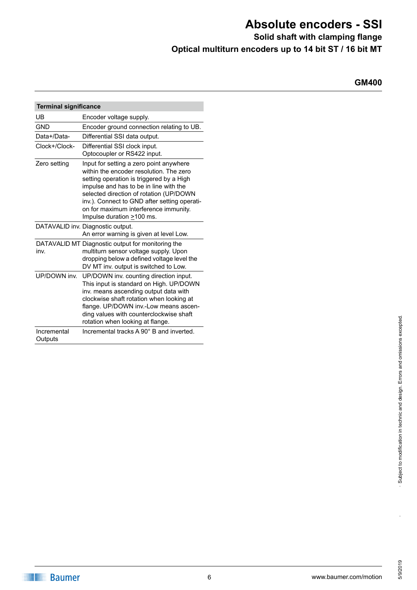**Solid shaft with clamping flange**

**Optical multiturn encoders up to 14 bit ST / 16 bit MT**

**GM400**

| <b>Terminal significance</b> |                                                                                                                                                                                                                                                                                                                                                 |
|------------------------------|-------------------------------------------------------------------------------------------------------------------------------------------------------------------------------------------------------------------------------------------------------------------------------------------------------------------------------------------------|
| UB                           | Encoder voltage supply.                                                                                                                                                                                                                                                                                                                         |
| <b>GND</b>                   | Encoder ground connection relating to UB.                                                                                                                                                                                                                                                                                                       |
| Data+/Data-                  | Differential SSI data output.                                                                                                                                                                                                                                                                                                                   |
| Clock+/Clock-                | Differential SSI clock input.<br>Optocoupler or RS422 input.                                                                                                                                                                                                                                                                                    |
| Zero setting                 | Input for setting a zero point anywhere<br>within the encoder resolution. The zero<br>setting operation is triggered by a High<br>impulse and has to be in line with the<br>selected direction of rotation (UP/DOWN<br>inv.). Connect to GND after setting operati-<br>on for maximum interference immunity.<br>Impulse duration $\geq$ 100 ms. |
|                              | DATAVALID inv. Diagnostic output.<br>An error warning is given at level Low.                                                                                                                                                                                                                                                                    |
| inv.                         | DATAVALID MT Diagnostic output for monitoring the<br>multiturn sensor voltage supply. Upon<br>dropping below a defined voltage level the<br>DV MT inv. output is switched to Low.                                                                                                                                                               |
| UP/DOWN inv.                 | UP/DOWN inv. counting direction input.<br>This input is standard on High. UP/DOWN<br>inv. means ascending output data with<br>clockwise shaft rotation when looking at<br>flange. UP/DOWN inv.-Low means ascen-<br>ding values with counterclockwise shaft<br>rotation when looking at flange.                                                  |
| Incremental<br>Outputs       | Incremental tracks A 90° B and inverted.                                                                                                                                                                                                                                                                                                        |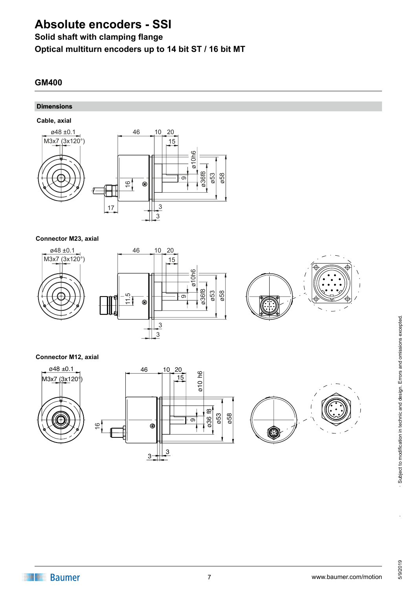## **Solid shaft with clamping flange**

**Optical multiturn encoders up to 14 bit ST / 16 bit MT**

## **GM400**

### **Dimensions**

**Cable, axial**



### **Connector M23, axial**







### **Connector M12, axial**

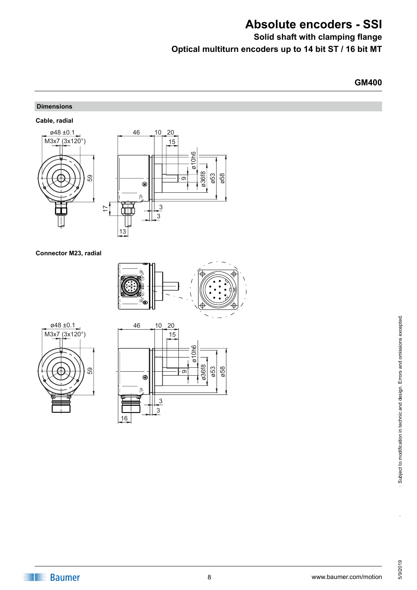**Solid shaft with clamping flange**

**Optical multiturn encoders up to 14 bit ST / 16 bit MT**

**GM400**

### **Dimensions**

**Cable, radial**



### **Connector M23, radial**







·<br>.<br>.